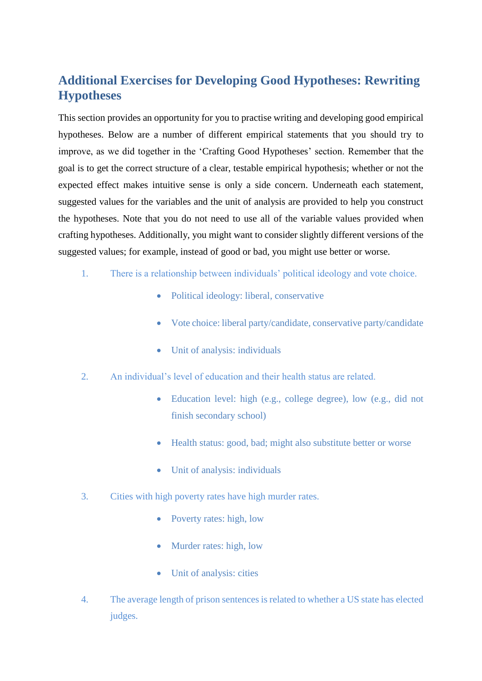## **Additional Exercises for Developing Good Hypotheses: Rewriting Hypotheses**

This section provides an opportunity for you to practise writing and developing good empirical hypotheses. Below are a number of different empirical statements that you should try to improve, as we did together in the 'Crafting Good Hypotheses' section. Remember that the goal is to get the correct structure of a clear, testable empirical hypothesis; whether or not the expected effect makes intuitive sense is only a side concern. Underneath each statement, suggested values for the variables and the unit of analysis are provided to help you construct the hypotheses. Note that you do not need to use all of the variable values provided when crafting hypotheses. Additionally, you might want to consider slightly different versions of the suggested values; for example, instead of good or bad, you might use better or worse.

- 1. There is a relationship between individuals' political ideology and vote choice.
	- Political ideology: liberal, conservative
	- Vote choice: liberal party/candidate, conservative party/candidate
	- Unit of analysis: individuals
- 2. An individual's level of education and their health status are related.
	- Education level: high (e.g., college degree), low (e.g., did not finish secondary school)
	- Health status: good, bad; might also substitute better or worse
	- Unit of analysis: individuals
- 3. Cities with high poverty rates have high murder rates.
	- Poverty rates: high, low
	- Murder rates: high, low
	- Unit of analysis: cities
- 4. The average length of prison sentences is related to whether a US state has elected judges.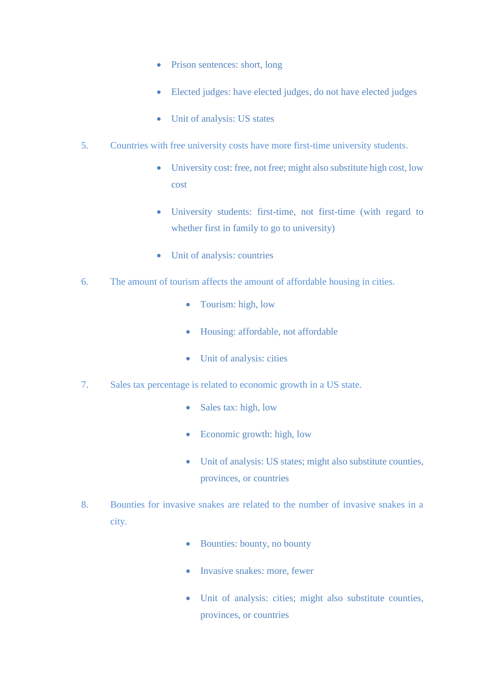- Prison sentences: short, long
- Elected judges: have elected judges, do not have elected judges
- Unit of analysis: US states
- 5. Countries with free university costs have more first-time university students.
	- University cost: free, not free; might also substitute high cost, low cost
	- University students: first-time, not first-time (with regard to whether first in family to go to university)
	- Unit of analysis: countries
- 6. The amount of tourism affects the amount of affordable housing in cities.
	- Tourism: high, low
	- Housing: affordable, not affordable
	- Unit of analysis: cities
- 7. Sales tax percentage is related to economic growth in a US state.
	- Sales tax: high, low
	- Economic growth: high, low
	- Unit of analysis: US states; might also substitute counties, provinces, or countries
- 8. Bounties for invasive snakes are related to the number of invasive snakes in a city.
	- Bounties: bounty, no bounty
	- Invasive snakes: more, fewer
	- Unit of analysis: cities; might also substitute counties, provinces, or countries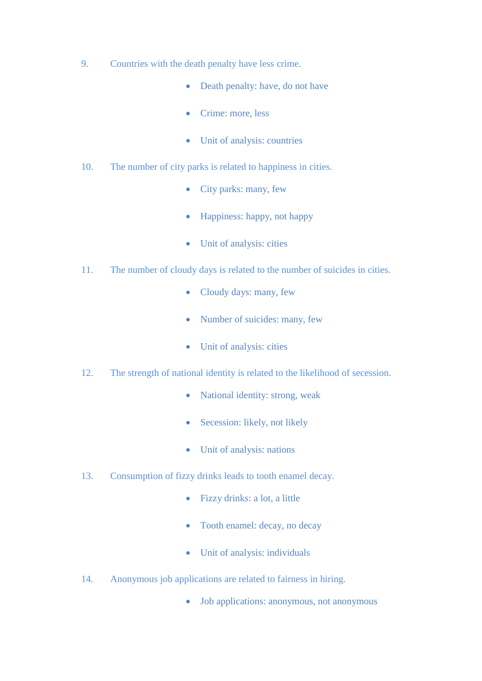- 9. Countries with the death penalty have less crime.
	- Death penalty: have, do not have
	- Crime: more, less
	- Unit of analysis: countries
- 10. The number of city parks is related to happiness in cities.
	- City parks: many, few
	- Happiness: happy, not happy
	- Unit of analysis: cities
- 11. The number of cloudy days is related to the number of suicides in cities.
	- Cloudy days: many, few
	- Number of suicides: many, few
	- Unit of analysis: cities
- 12. The strength of national identity is related to the likelihood of secession.
	- National identity: strong, weak
	- Secession: likely, not likely
	- Unit of analysis: nations
- 13. Consumption of fizzy drinks leads to tooth enamel decay.
	- Fizzy drinks: a lot, a little
	- Tooth enamel: decay, no decay
	- Unit of analysis: individuals
- 14. Anonymous job applications are related to fairness in hiring.
	- Job applications: anonymous, not anonymous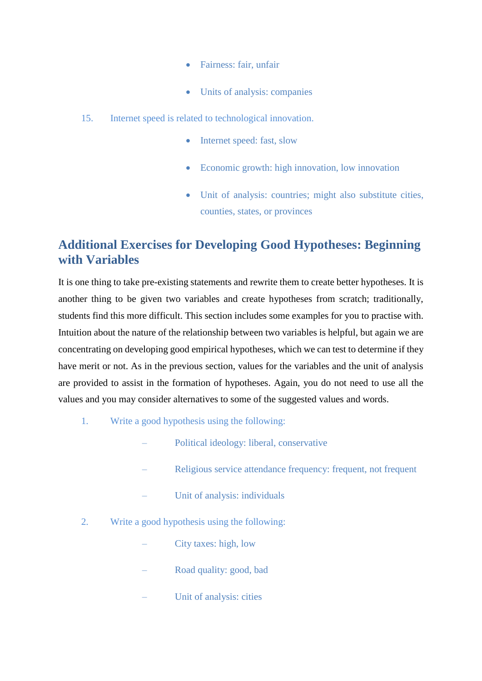- Fairness: fair, unfair
- Units of analysis: companies
- 15. Internet speed is related to technological innovation.
	- Internet speed: fast, slow
	- Economic growth: high innovation, low innovation
	- Unit of analysis: countries; might also substitute cities, counties, states, or provinces

# **Additional Exercises for Developing Good Hypotheses: Beginning with Variables**

It is one thing to take pre-existing statements and rewrite them to create better hypotheses. It is another thing to be given two variables and create hypotheses from scratch; traditionally, students find this more difficult. This section includes some examples for you to practise with. Intuition about the nature of the relationship between two variables is helpful, but again we are concentrating on developing good empirical hypotheses, which we can test to determine if they have merit or not. As in the previous section, values for the variables and the unit of analysis are provided to assist in the formation of hypotheses. Again, you do not need to use all the values and you may consider alternatives to some of the suggested values and words.

- 1. Write a good hypothesis using the following:
	- Political ideology: liberal, conservative
	- Religious service attendance frequency: frequent, not frequent
	- Unit of analysis: individuals
- 2. Write a good hypothesis using the following:
	- City taxes: high, low
	- Road quality: good, bad
	- Unit of analysis: cities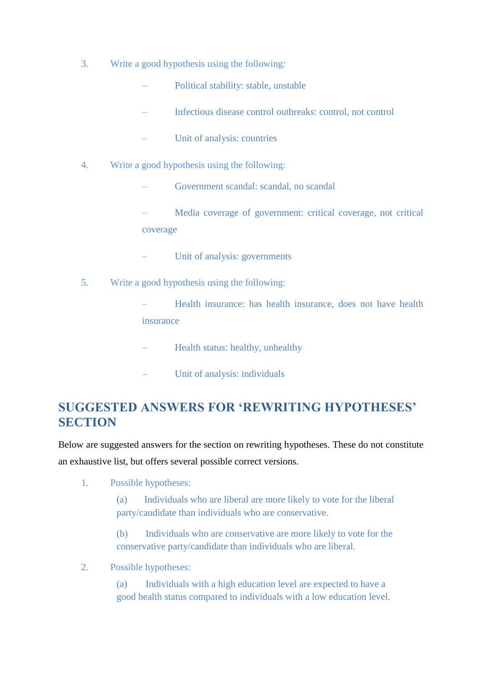- 3. Write a good hypothesis using the following:
	- Political stability: stable, unstable
	- Infectious disease control outbreaks: control, not control
	- Unit of analysis: countries
- 4. Write a good hypothesis using the following:
	- Government scandal: scandal, no scandal
	- Media coverage of government: critical coverage, not critical coverage
	- Unit of analysis: governments
- 5. Write a good hypothesis using the following:
	- Health insurance: has health insurance, does not have health insurance
	- Health status: healthy, unhealthy
	- Unit of analysis: individuals

## **SUGGESTED ANSWERS FOR 'REWRITING HYPOTHESES' SECTION**

Below are suggested answers for the section on rewriting hypotheses. These do not constitute an exhaustive list, but offers several possible correct versions.

1. Possible hypotheses:

(a) Individuals who are liberal are more likely to vote for the liberal party/candidate than individuals who are conservative.

(b) Individuals who are conservative are more likely to vote for the conservative party/candidate than individuals who are liberal.

2. Possible hypotheses:

(a) Individuals with a high education level are expected to have a good health status compared to individuals with a low education level.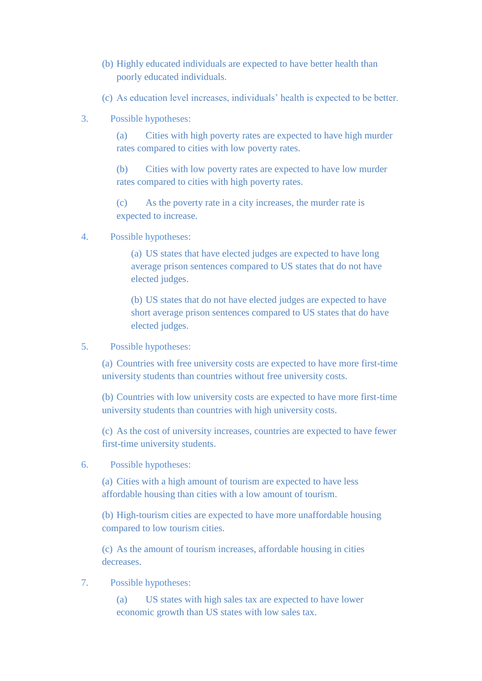- (b) Highly educated individuals are expected to have better health than poorly educated individuals.
- (c) As education level increases, individuals' health is expected to be better.
- 3. Possible hypotheses:

(a) Cities with high poverty rates are expected to have high murder rates compared to cities with low poverty rates.

(b) Cities with low poverty rates are expected to have low murder rates compared to cities with high poverty rates.

(c) As the poverty rate in a city increases, the murder rate is expected to increase.

4. Possible hypotheses:

(a) US states that have elected judges are expected to have long average prison sentences compared to US states that do not have elected judges.

(b) US states that do not have elected judges are expected to have short average prison sentences compared to US states that do have elected judges.

5. Possible hypotheses:

(a) Countries with free university costs are expected to have more first-time university students than countries without free university costs.

(b) Countries with low university costs are expected to have more first-time university students than countries with high university costs.

(c) As the cost of university increases, countries are expected to have fewer first-time university students.

6. Possible hypotheses:

(a) Cities with a high amount of tourism are expected to have less affordable housing than cities with a low amount of tourism.

(b) High-tourism cities are expected to have more unaffordable housing compared to low tourism cities.

(c) As the amount of tourism increases, affordable housing in cities decreases.

7. Possible hypotheses:

(a) US states with high sales tax are expected to have lower economic growth than US states with low sales tax.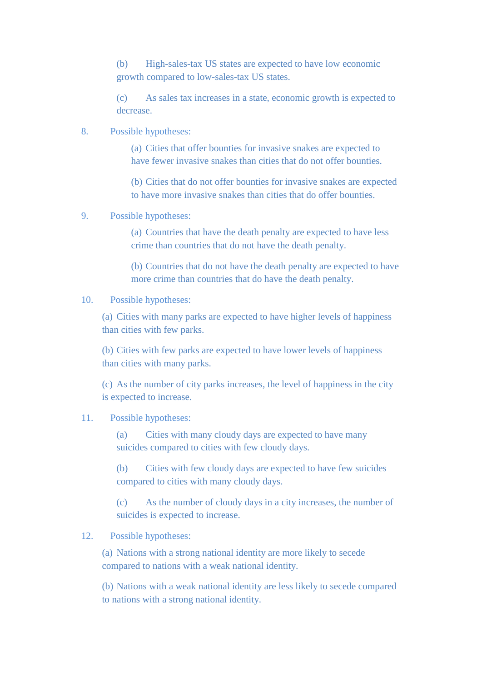(b) High-sales-tax US states are expected to have low economic growth compared to low-sales-tax US states.

(c) As sales tax increases in a state, economic growth is expected to decrease.

## 8. Possible hypotheses:

(a) Cities that offer bounties for invasive snakes are expected to have fewer invasive snakes than cities that do not offer bounties.

(b) Cities that do not offer bounties for invasive snakes are expected to have more invasive snakes than cities that do offer bounties.

#### 9. Possible hypotheses:

(a) Countries that have the death penalty are expected to have less crime than countries that do not have the death penalty.

(b) Countries that do not have the death penalty are expected to have more crime than countries that do have the death penalty.

## 10. Possible hypotheses:

(a) Cities with many parks are expected to have higher levels of happiness than cities with few parks.

(b) Cities with few parks are expected to have lower levels of happiness than cities with many parks.

(c) As the number of city parks increases, the level of happiness in the city is expected to increase.

#### 11. Possible hypotheses:

(a) Cities with many cloudy days are expected to have many suicides compared to cities with few cloudy days.

(b) Cities with few cloudy days are expected to have few suicides compared to cities with many cloudy days.

(c) As the number of cloudy days in a city increases, the number of suicides is expected to increase.

### 12. Possible hypotheses:

(a) Nations with a strong national identity are more likely to secede compared to nations with a weak national identity.

(b) Nations with a weak national identity are less likely to secede compared to nations with a strong national identity.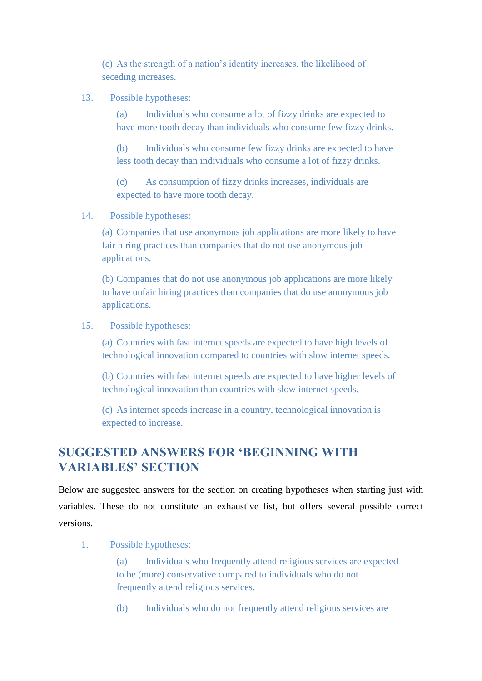(c) As the strength of a nation's identity increases, the likelihood of seceding increases.

### 13. Possible hypotheses:

(a) Individuals who consume a lot of fizzy drinks are expected to have more tooth decay than individuals who consume few fizzy drinks.

(b) Individuals who consume few fizzy drinks are expected to have less tooth decay than individuals who consume a lot of fizzy drinks.

(c) As consumption of fizzy drinks increases, individuals are expected to have more tooth decay.

### 14. Possible hypotheses:

(a) Companies that use anonymous job applications are more likely to have fair hiring practices than companies that do not use anonymous job applications.

(b) Companies that do not use anonymous job applications are more likely to have unfair hiring practices than companies that do use anonymous job applications.

## 15. Possible hypotheses:

(a) Countries with fast internet speeds are expected to have high levels of technological innovation compared to countries with slow internet speeds.

(b) Countries with fast internet speeds are expected to have higher levels of technological innovation than countries with slow internet speeds.

(c) As internet speeds increase in a country, technological innovation is expected to increase.

## **SUGGESTED ANSWERS FOR 'BEGINNING WITH VARIABLES' SECTION**

Below are suggested answers for the section on creating hypotheses when starting just with variables. These do not constitute an exhaustive list, but offers several possible correct versions.

1. Possible hypotheses:

(a) Individuals who frequently attend religious services are expected to be (more) conservative compared to individuals who do not frequently attend religious services.

(b) Individuals who do not frequently attend religious services are